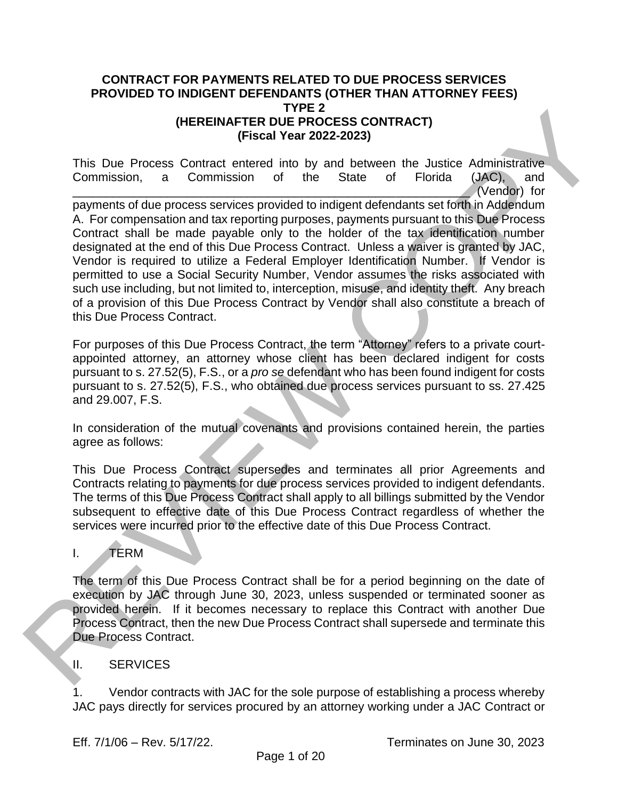#### **CONTRACT FOR PAYMENTS RELATED TO DUE PROCESS SERVICES PROVIDED TO INDIGENT DEFENDANTS (OTHER THAN ATTORNEY FEES) TYPE 2 (HEREINAFTER DUE PROCESS CONTRACT) (Fiscal Year 2022-2023)**

This Due Process Contract entered into by and between the Justice Administrative Commission, a Commission of the State of Florida (JAC), and \_\_\_\_\_\_\_\_\_\_\_\_\_\_\_\_\_\_\_\_\_\_\_\_\_\_\_\_\_\_\_\_\_\_\_\_\_\_\_\_\_\_\_\_\_\_\_\_\_\_\_\_\_\_\_\_\_\_\_ (Vendor) for payments of due process services provided to indigent defendants set forth in Addendum A. For compensation and tax reporting purposes, payments pursuant to this Due Process Contract shall be made payable only to the holder of the tax identification number designated at the end of this Due Process Contract. Unless a waiver is granted by JAC, Vendor is required to utilize a Federal Employer Identification Number. If Vendor is permitted to use a Social Security Number, Vendor assumes the risks associated with such use including, but not limited to, interception, misuse, and identity theft. Any breach of a provision of this Due Process Contract by Vendor shall also constitute a breach of this Due Process Contract. (HEREINAFTER DUFFEAD COSS CONTRACT)<br>
This Due Process Contract entered into by and between the Justice Administrative<br>
Commission, a Commission of the State of Florida (ARC), and<br>
payments of the process services provided

For purposes of this Due Process Contract, the term "Attorney" refers to a private courtappointed attorney, an attorney whose client has been declared indigent for costs pursuant to s. 27.52(5), F.S., or a *pro se* defendant who has been found indigent for costs pursuant to s. 27.52(5), F.S., who obtained due process services pursuant to ss. 27.425 and 29.007, F.S.

In consideration of the mutual covenants and provisions contained herein, the parties agree as follows:

This Due Process Contract supersedes and terminates all prior Agreements and Contracts relating to payments for due process services provided to indigent defendants. The terms of this Due Process Contract shall apply to all billings submitted by the Vendor subsequent to effective date of this Due Process Contract regardless of whether the services were incurred prior to the effective date of this Due Process Contract.

# I. TERM

The term of this Due Process Contract shall be for a period beginning on the date of execution by JAC through June 30, 2023, unless suspended or terminated sooner as provided herein. If it becomes necessary to replace this Contract with another Due Process Contract, then the new Due Process Contract shall supersede and terminate this Due Process Contract.

## II. SERVICES

1. Vendor contracts with JAC for the sole purpose of establishing a process whereby JAC pays directly for services procured by an attorney working under a JAC Contract or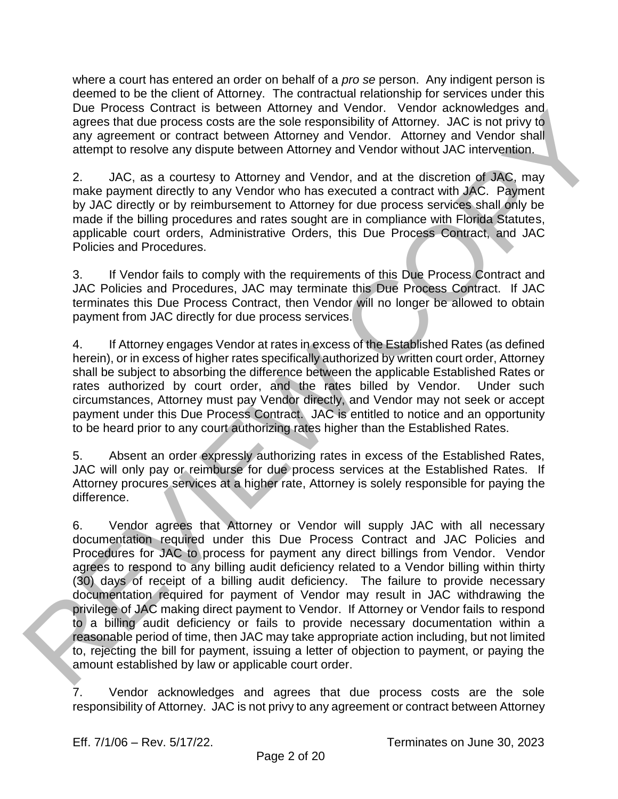where a court has entered an order on behalf of a *pro se* person. Any indigent person is deemed to be the client of Attorney. The contractual relationship for services under this Due Process Contract is between Attorney and Vendor. Vendor acknowledges and agrees that due process costs are the sole responsibility of Attorney. JAC is not privy to any agreement or contract between Attorney and Vendor. Attorney and Vendor shall attempt to resolve any dispute between Attorney and Vendor without JAC intervention.

2. JAC, as a courtesy to Attorney and Vendor, and at the discretion of JAC, may make payment directly to any Vendor who has executed a contract with JAC. Payment by JAC directly or by reimbursement to Attorney for due process services shall only be made if the billing procedures and rates sought are in compliance with Florida Statutes, applicable court orders, Administrative Orders, this Due Process Contract, and JAC Policies and Procedures.

3. If Vendor fails to comply with the requirements of this Due Process Contract and JAC Policies and Procedures, JAC may terminate this Due Process Contract. If JAC terminates this Due Process Contract, then Vendor will no longer be allowed to obtain payment from JAC directly for due process services.

4. If Attorney engages Vendor at rates in excess of the Established Rates (as defined herein), or in excess of higher rates specifically authorized by written court order, Attorney shall be subject to absorbing the difference between the applicable Established Rates or rates authorized by court order, and the rates billed by Vendor. Under such circumstances, Attorney must pay Vendor directly, and Vendor may not seek or accept payment under this Due Process Contract. JAC is entitled to notice and an opportunity to be heard prior to any court authorizing rates higher than the Established Rates.

5. Absent an order expressly authorizing rates in excess of the Established Rates, JAC will only pay or reimburse for due process services at the Established Rates. If Attorney procures services at a higher rate, Attorney is solely responsible for paying the difference.

6. Vendor agrees that Attorney or Vendor will supply JAC with all necessary documentation required under this Due Process Contract and JAC Policies and Procedures for JAC to process for payment any direct billings from Vendor. Vendor agrees to respond to any billing audit deficiency related to a Vendor billing within thirty (30) days of receipt of a billing audit deficiency. The failure to provide necessary documentation required for payment of Vendor may result in JAC withdrawing the privilege of JAC making direct payment to Vendor. If Attorney or Vendor fails to respond to a billing audit deficiency or fails to provide necessary documentation within a reasonable period of time, then JAC may take appropriate action including, but not limited to, rejecting the bill for payment, issuing a letter of objection to payment, or paying the amount established by law or applicable court order. Use Process Contract is networking in a vendor from the minimal and the contract is networking and the statistical and the properties of the statistical and the statistical and the statistical and the statistical and the s

7. Vendor acknowledges and agrees that due process costs are the sole responsibility of Attorney. JAC is not privy to any agreement or contract between Attorney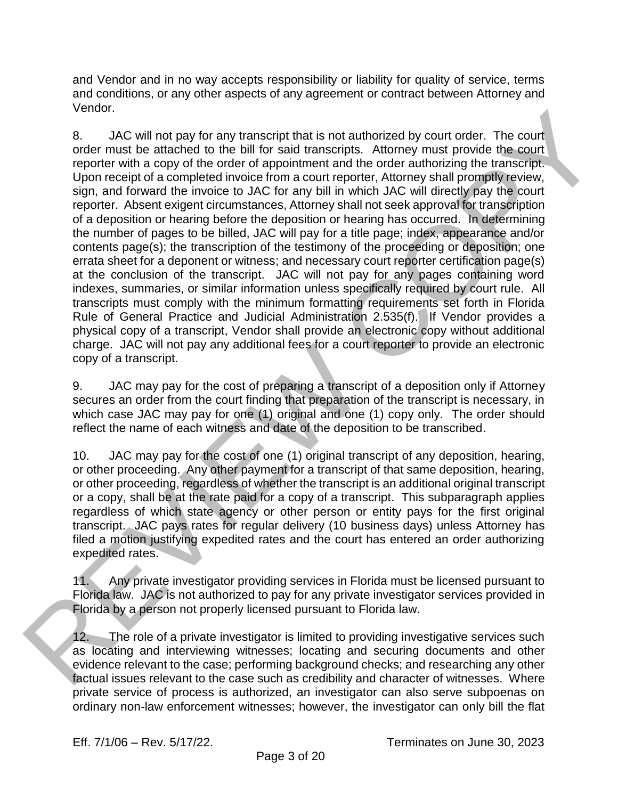and Vendor and in no way accepts responsibility or liability for quality of service, terms and conditions, or any other aspects of any agreement or contract between Attorney and Vendor.

8. JAC will not pay for any transcript that is not authorized by court order. The court order must be attached to the bill for said transcripts. Attorney must provide the court reporter with a copy of the order of appointment and the order authorizing the transcript. Upon receipt of a completed invoice from a court reporter, Attorney shall promptly review, sign, and forward the invoice to JAC for any bill in which JAC will directly pay the court reporter. Absent exigent circumstances, Attorney shall not seek approval for transcription of a deposition or hearing before the deposition or hearing has occurred. In determining the number of pages to be billed, JAC will pay for a title page; index, appearance and/or contents page(s); the transcription of the testimony of the proceeding or deposition; one errata sheet for a deponent or witness; and necessary court reporter certification page(s) at the conclusion of the transcript. JAC will not pay for any pages containing word indexes, summaries, or similar information unless specifically required by court rule. All transcripts must comply with the minimum formatting requirements set forth in Florida Rule of General Practice and Judicial Administration 2.535(f). If Vendor provides a physical copy of a transcript, Vendor shall provide an electronic copy without additional charge. JAC will not pay any additional fees for a court reporter to provide an electronic copy of a transcript. set of the must be eathered to the bill kin single than is not authorized by court order. The court<br>order must be earthed to the bill kin single transfers. Afterture, must provide the record<br>reporter with a copy of the che

9. JAC may pay for the cost of preparing a transcript of a deposition only if Attorney secures an order from the court finding that preparation of the transcript is necessary, in which case JAC may pay for one (1) original and one (1) copy only. The order should reflect the name of each witness and date of the deposition to be transcribed.

10. JAC may pay for the cost of one (1) original transcript of any deposition, hearing, or other proceeding. Any other payment for a transcript of that same deposition, hearing, or other proceeding, regardless of whether the transcript is an additional original transcript or a copy, shall be at the rate paid for a copy of a transcript. This subparagraph applies regardless of which state agency or other person or entity pays for the first original transcript. JAC pays rates for regular delivery (10 business days) unless Attorney has filed a motion justifying expedited rates and the court has entered an order authorizing expedited rates.

11. Any private investigator providing services in Florida must be licensed pursuant to Florida law. JAC is not authorized to pay for any private investigator services provided in Florida by a person not properly licensed pursuant to Florida law.

12. The role of a private investigator is limited to providing investigative services such as locating and interviewing witnesses; locating and securing documents and other evidence relevant to the case; performing background checks; and researching any other factual issues relevant to the case such as credibility and character of witnesses. Where private service of process is authorized, an investigator can also serve subpoenas on ordinary non-law enforcement witnesses; however, the investigator can only bill the flat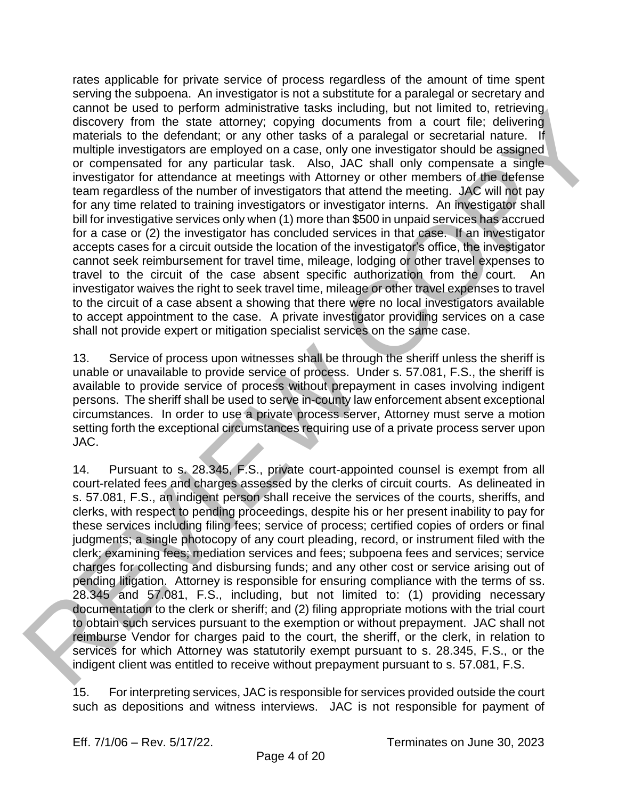rates applicable for private service of process regardless of the amount of time spent serving the subpoena. An investigator is not a substitute for a paralegal or secretary and cannot be used to perform administrative tasks including, but not limited to, retrieving discovery from the state attorney; copying documents from a court file; delivering materials to the defendant; or any other tasks of a paralegal or secretarial nature. If multiple investigators are employed on a case, only one investigator should be assigned or compensated for any particular task. Also, JAC shall only compensate a single investigator for attendance at meetings with Attorney or other members of the defense team regardless of the number of investigators that attend the meeting. JAC will not pay for any time related to training investigators or investigator interns. An investigator shall bill for investigative services only when (1) more than \$500 in unpaid services has accrued for a case or (2) the investigator has concluded services in that case. If an investigator accepts cases for a circuit outside the location of the investigator's office, the investigator cannot seek reimbursement for travel time, mileage, lodging or other travel expenses to travel to the circuit of the case absent specific authorization from the court. An investigator waives the right to seek travel time, mileage or other travel expenses to travel to the circuit of a case absent a showing that there were no local investigators available to accept appointment to the case. A private investigator providing services on a case shall not provide expert or mitigation specialist services on the same case. dianon to the test of performal mannistrative tasks including, but not limited to, territomic and covid-<br>indianon of the state incomes control of the control manning and the control manning materials to the detection of ex

13. Service of process upon witnesses shall be through the sheriff unless the sheriff is unable or unavailable to provide service of process. Under s. 57.081, F.S., the sheriff is available to provide service of process without prepayment in cases involving indigent persons. The sheriff shall be used to serve in-county law enforcement absent exceptional circumstances. In order to use a private process server, Attorney must serve a motion setting forth the exceptional circumstances requiring use of a private process server upon JAC.

14. Pursuant to s. 28.345, F.S., private court-appointed counsel is exempt from all court-related fees and charges assessed by the clerks of circuit courts. As delineated in s. 57.081, F.S., an indigent person shall receive the services of the courts, sheriffs, and clerks, with respect to pending proceedings, despite his or her present inability to pay for these services including filing fees; service of process; certified copies of orders or final judgments; a single photocopy of any court pleading, record, or instrument filed with the clerk; examining fees; mediation services and fees; subpoena fees and services; service charges for collecting and disbursing funds; and any other cost or service arising out of pending litigation. Attorney is responsible for ensuring compliance with the terms of ss. 28.345 and 57.081, F.S., including, but not limited to: (1) providing necessary documentation to the clerk or sheriff; and (2) filing appropriate motions with the trial court to obtain such services pursuant to the exemption or without prepayment. JAC shall not reimburse Vendor for charges paid to the court, the sheriff, or the clerk, in relation to services for which Attorney was statutorily exempt pursuant to s. 28.345, F.S., or the indigent client was entitled to receive without prepayment pursuant to s. 57.081, F.S.

15. For interpreting services, JAC is responsible for services provided outside the court such as depositions and witness interviews. JAC is not responsible for payment of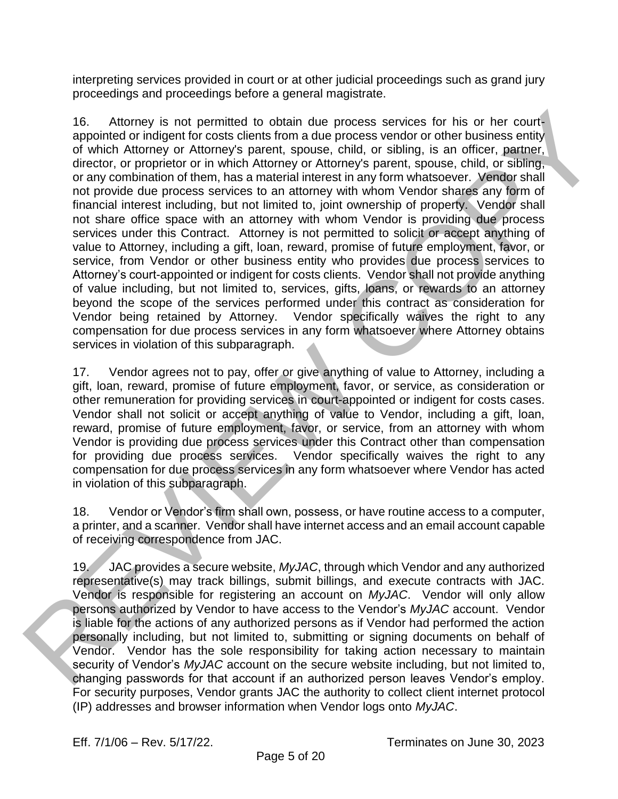interpreting services provided in court or at other judicial proceedings such as grand jury proceedings and proceedings before a general magistrate.

16. Attorney is not permitted to obtain due process services for his or her courtappointed or indigent for costs clients from a due process vendor or other business entity of which Attorney or Attorney's parent, spouse, child, or sibling, is an officer, partner, director, or proprietor or in which Attorney or Attorney's parent, spouse, child, or sibling, or any combination of them, has a material interest in any form whatsoever. Vendor shall not provide due process services to an attorney with whom Vendor shares any form of financial interest including, but not limited to, joint ownership of property. Vendor shall not share office space with an attorney with whom Vendor is providing due process services under this Contract. Attorney is not permitted to solicit or accept anything of value to Attorney, including a gift, loan, reward, promise of future employment, favor, or service, from Vendor or other business entity who provides due process services to Attorney's court-appointed or indigent for costs clients. Vendor shall not provide anything of value including, but not limited to, services, gifts, loans, or rewards to an attorney beyond the scope of the services performed under this contract as consideration for Vendor being retained by Attorney. Vendor specifically waives the right to any compensation for due process services in any form whatsoever where Attorney obtains services in violation of this subparagraph. 16. Alteney is not parmitted to obtain due process services for his or her court,<br>appointed at independent choses detects from a due probass cendos for this distinguished at the properties of the control internal distingui

17. Vendor agrees not to pay, offer or give anything of value to Attorney, including a gift, loan, reward, promise of future employment, favor, or service, as consideration or other remuneration for providing services in court-appointed or indigent for costs cases. Vendor shall not solicit or accept anything of value to Vendor, including a gift, loan, reward, promise of future employment, favor, or service, from an attorney with whom Vendor is providing due process services under this Contract other than compensation for providing due process services. Vendor specifically waives the right to any compensation for due process services in any form whatsoever where Vendor has acted in violation of this subparagraph.

18. Vendor or Vendor's firm shall own, possess, or have routine access to a computer, a printer, and a scanner. Vendor shall have internet access and an email account capable of receiving correspondence from JAC.

19. JAC provides a secure website, *MyJAC*, through which Vendor and any authorized representative(s) may track billings, submit billings, and execute contracts with JAC. Vendor is responsible for registering an account on *MyJAC*. Vendor will only allow persons authorized by Vendor to have access to the Vendor's *MyJAC* account. Vendor is liable for the actions of any authorized persons as if Vendor had performed the action personally including, but not limited to, submitting or signing documents on behalf of Vendor. Vendor has the sole responsibility for taking action necessary to maintain security of Vendor's *MyJAC* account on the secure website including, but not limited to, changing passwords for that account if an authorized person leaves Vendor's employ. For security purposes, Vendor grants JAC the authority to collect client internet protocol (IP) addresses and browser information when Vendor logs onto *MyJAC*.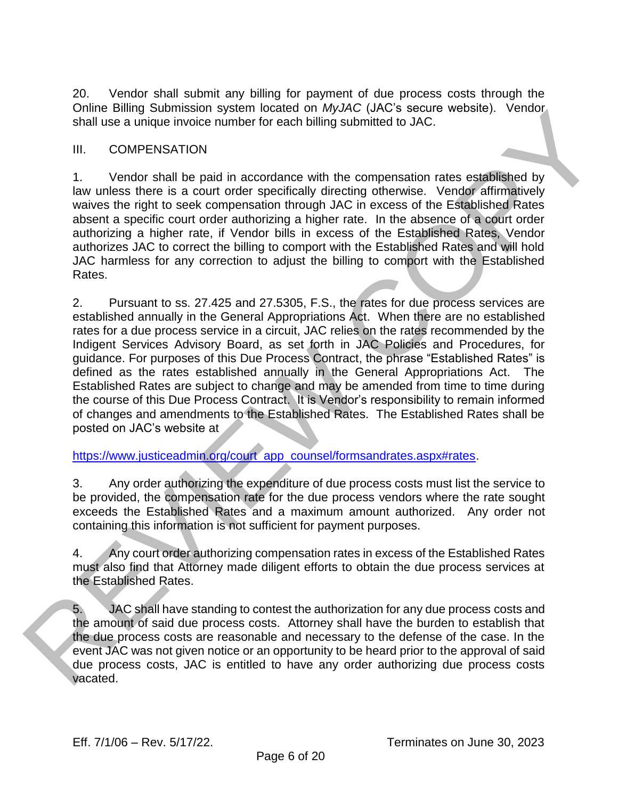20. Vendor shall submit any billing for payment of due process costs through the Online Billing Submission system located on *MyJAC* (JAC's secure website). Vendor shall use a unique invoice number for each billing submitted to JAC.

#### III. COMPENSATION

1. Vendor shall be paid in accordance with the compensation rates established by law unless there is a court order specifically directing otherwise. Vendor affirmatively waives the right to seek compensation through JAC in excess of the Established Rates absent a specific court order authorizing a higher rate. In the absence of a court order authorizing a higher rate, if Vendor bills in excess of the Established Rates, Vendor authorizes JAC to correct the billing to comport with the Established Rates and will hold JAC harmless for any correction to adjust the billing to comport with the Established Rates.

2. Pursuant to ss. 27.425 and 27.5305, F.S., the rates for due process services are established annually in the General Appropriations Act. When there are no established rates for a due process service in a circuit, JAC relies on the rates recommended by the Indigent Services Advisory Board, as set forth in JAC Policies and Procedures, for guidance. For purposes of this Due Process Contract, the phrase "Established Rates" is defined as the rates established annually in the General Appropriations Act. The Established Rates are subject to change and may be amended from time to time during the course of this Due Process Contract. It is Vendor's responsibility to remain informed of changes and amendments to the Established Rates. The Established Rates shall be posted on JAC's website at Unine suings submits and whole to the profession anyone. Using a share we call that a server of the same of the same of the same of the control of the same of the same of the same of the same of the same of the same of the

#### https://www.justiceadmin.org/court\_app\_counsel/formsandrates.aspx#rates.

3. Any order authorizing the expenditure of due process costs must list the service to be provided, the compensation rate for the due process vendors where the rate sought exceeds the Established Rates and a maximum amount authorized. Any order not containing this information is not sufficient for payment purposes.

4. Any court order authorizing compensation rates in excess of the Established Rates must also find that Attorney made diligent efforts to obtain the due process services at the Established Rates.

5. JAC shall have standing to contest the authorization for any due process costs and the amount of said due process costs. Attorney shall have the burden to establish that the due process costs are reasonable and necessary to the defense of the case. In the event JAC was not given notice or an opportunity to be heard prior to the approval of said due process costs, JAC is entitled to have any order authorizing due process costs vacated.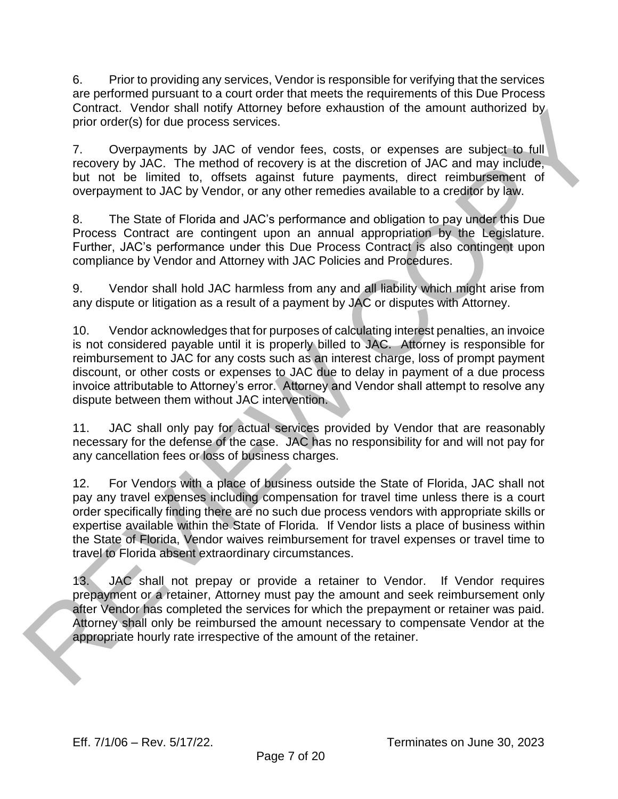6. Prior to providing any services, Vendor is responsible for verifying that the services are performed pursuant to a court order that meets the requirements of this Due Process Contract. Vendor shall notify Attorney before exhaustion of the amount authorized by prior order(s) for due process services.

7. Overpayments by JAC of vendor fees, costs, or expenses are subject to full recovery by JAC. The method of recovery is at the discretion of JAC and may include, but not be limited to, offsets against future payments, direct reimbursement of overpayment to JAC by Vendor, or any other remedies available to a creditor by law.

8. The State of Florida and JAC's performance and obligation to pay under this Due Process Contract are contingent upon an annual appropriation by the Legislature. Further, JAC's performance under this Due Process Contract is also contingent upon compliance by Vendor and Attorney with JAC Policies and Procedures.

9. Vendor shall hold JAC harmless from any and all liability which might arise from any dispute or litigation as a result of a payment by JAC or disputes with Attorney.

10. Vendor acknowledges that for purposes of calculating interest penalties, an invoice is not considered payable until it is properly billed to JAC. Attorney is responsible for reimbursement to JAC for any costs such as an interest charge, loss of prompt payment discount, or other costs or expenses to JAC due to delay in payment of a due process invoice attributable to Attorney's error. Attorney and Vendor shall attempt to resolve any dispute between them without JAC intervention. Contract. Venote frash nontrigival many certor extrainsion of the amount automced by<br>place rotatics) for due process savideos.<br>The crossing of the process savideo of the section of JAC and may include<br>but not be limited to

11. JAC shall only pay for actual services provided by Vendor that are reasonably necessary for the defense of the case. JAC has no responsibility for and will not pay for any cancellation fees or loss of business charges.

12. For Vendors with a place of business outside the State of Florida, JAC shall not pay any travel expenses including compensation for travel time unless there is a court order specifically finding there are no such due process vendors with appropriate skills or expertise available within the State of Florida. If Vendor lists a place of business within the State of Florida, Vendor waives reimbursement for travel expenses or travel time to travel to Florida absent extraordinary circumstances.

13. JAC shall not prepay or provide a retainer to Vendor. If Vendor requires prepayment or a retainer, Attorney must pay the amount and seek reimbursement only after Vendor has completed the services for which the prepayment or retainer was paid. Attorney shall only be reimbursed the amount necessary to compensate Vendor at the appropriate hourly rate irrespective of the amount of the retainer.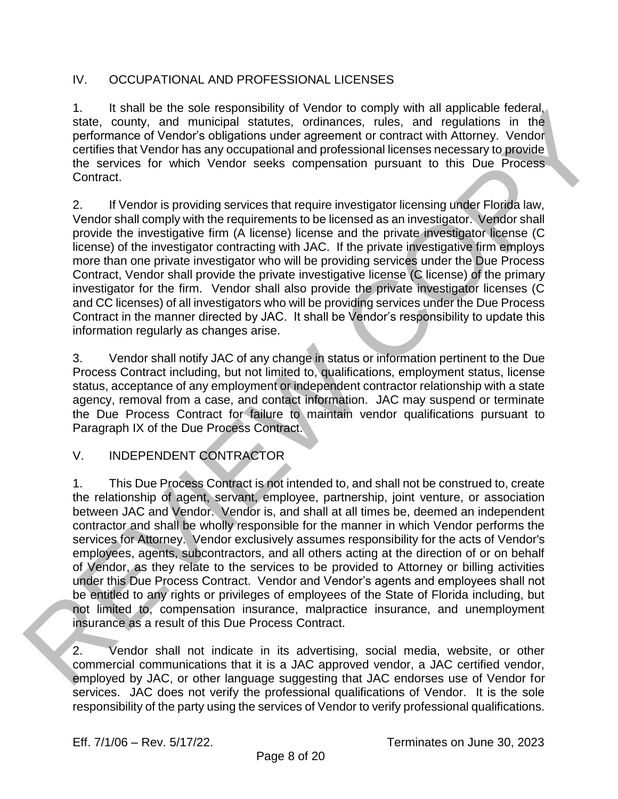## IV. OCCUPATIONAL AND PROFESSIONAL LICENSES

1. It shall be the sole responsibility of Vendor to comply with all applicable federal, state, county, and municipal statutes, ordinances, rules, and regulations in the performance of Vendor's obligations under agreement or contract with Attorney. Vendor certifies that Vendor has any occupational and professional licenses necessary to provide the services for which Vendor seeks compensation pursuant to this Due Process Contract.

2. If Vendor is providing services that require investigator licensing under Florida law, Vendor shall comply with the requirements to be licensed as an investigator. Vendor shall provide the investigative firm (A license) license and the private investigator license (C license) of the investigator contracting with JAC. If the private investigative firm employs more than one private investigator who will be providing services under the Due Process Contract, Vendor shall provide the private investigative license (C license) of the primary investigator for the firm. Vendor shall also provide the private investigator licenses (C and CC licenses) of all investigators who will be providing services under the Due Process Contract in the manner directed by JAC. It shall be Vendor's responsibility to update this information regularly as changes arise.

3. Vendor shall notify JAC of any change in status or information pertinent to the Due Process Contract including, but not limited to, qualifications, employment status, license status, acceptance of any employment or independent contractor relationship with a state agency, removal from a case, and contact information. JAC may suspend or terminate the Due Process Contract for failure to maintain vendor qualifications pursuant to Paragraph IX of the Due Process Contract.

## V. INDEPENDENT CONTRACTOR

1. This Due Process Contract is not intended to, and shall not be construed to, create the relationship of agent, servant, employee, partnership, joint venture, or association between JAC and Vendor. Vendor is, and shall at all times be, deemed an independent contractor and shall be wholly responsible for the manner in which Vendor performs the services for Attorney. Vendor exclusively assumes responsibility for the acts of Vendor's employees, agents, subcontractors, and all others acting at the direction of or on behalf of Vendor, as they relate to the services to be provided to Attorney or billing activities under this Due Process Contract. Vendor and Vendor's agents and employees shall not be entitled to any rights or privileges of employees of the State of Florida including, but not limited to, compensation insurance, malpractice insurance, and unemployment insurance as a result of this Due Process Contract. 1. It stall no the sole responsibility of vendor to comply with all applicable feelses.<br>
Statio, county, and municipal statius, ordinarios, rules, and regulations in the<br>
performance of Vendor's obligations under agreement

2. Vendor shall not indicate in its advertising, social media, website, or other commercial communications that it is a JAC approved vendor, a JAC certified vendor, employed by JAC, or other language suggesting that JAC endorses use of Vendor for services. JAC does not verify the professional qualifications of Vendor. It is the sole responsibility of the party using the services of Vendor to verify professional qualifications.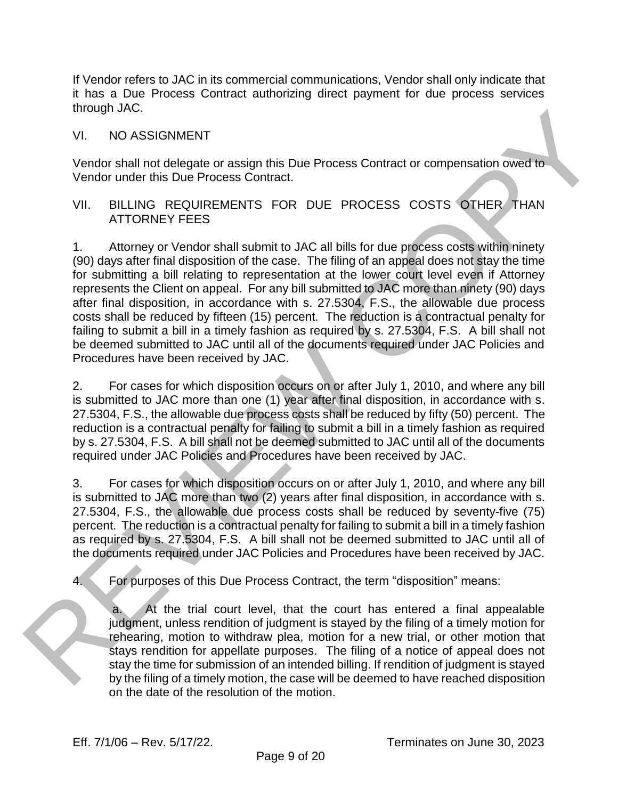If Vendor refers to JAC in its commercial communications, Vendor shall only indicate that it has a Due Process Contract authorizing direct payment for due process services through JAC.

VI. NO ASSIGNMENT

Vendor shall not delegate or assign this Due Process Contract or compensation owed to Vendor under this Due Process Contract.

#### VII. BILLING REQUIREMENTS FOR DUE PROCESS COSTS OTHER THAN ATTORNEY FEES

1. Attorney or Vendor shall submit to JAC all bills for due process costs within ninety (90) days after final disposition of the case. The filing of an appeal does not stay the time for submitting a bill relating to representation at the lower court level even if Attorney represents the Client on appeal. For any bill submitted to JAC more than ninety (90) days after final disposition, in accordance with s. 27.5304, F.S., the allowable due process costs shall be reduced by fifteen (15) percent. The reduction is a contractual penalty for failing to submit a bill in a timely fashion as required by s. 27.5304, F.S. A bill shall not be deemed submitted to JAC until all of the documents required under JAC Policies and Procedures have been received by JAC. mough JAC.<br>
VI. VO ARSIGNMENT<br>
VIEW AND ASSIGNMENT<br>
VIEW AND ASSIGNMENT<br>
VIEW ARS SIGNMENT<br>
VIEW ARS Due Process Contract.<br>
VIEW CHORE THIS Due Process Contract.<br>
VIEW ARTORNEY FEES<br>
1. Altromey or Vendor shall submit to

2. For cases for which disposition occurs on or after July 1, 2010, and where any bill is submitted to JAC more than one (1) year after final disposition, in accordance with s. 27.5304, F.S., the allowable due process costs shall be reduced by fifty (50) percent. The reduction is a contractual penalty for failing to submit a bill in a timely fashion as required by s. 27.5304, F.S. A bill shall not be deemed submitted to JAC until all of the documents required under JAC Policies and Procedures have been received by JAC.

3. For cases for which disposition occurs on or after July 1, 2010, and where any bill is submitted to JAC more than two (2) years after final disposition, in accordance with s. 27.5304, F.S., the allowable due process costs shall be reduced by seventy-five (75) percent. The reduction is a contractual penalty for failing to submit a bill in a timely fashion as required by s. 27.5304, F.S. A bill shall not be deemed submitted to JAC until all of the documents required under JAC Policies and Procedures have been received by JAC.

4. For purposes of this Due Process Contract, the term "disposition" means:

At the trial court level, that the court has entered a final appealable judgment, unless rendition of judgment is stayed by the filing of a timely motion for rehearing, motion to withdraw plea, motion for a new trial, or other motion that stays rendition for appellate purposes. The filing of a notice of appeal does not stay the time for submission of an intended billing. If rendition of judgment is stayed by the filing of a timely motion, the case will be deemed to have reached disposition on the date of the resolution of the motion.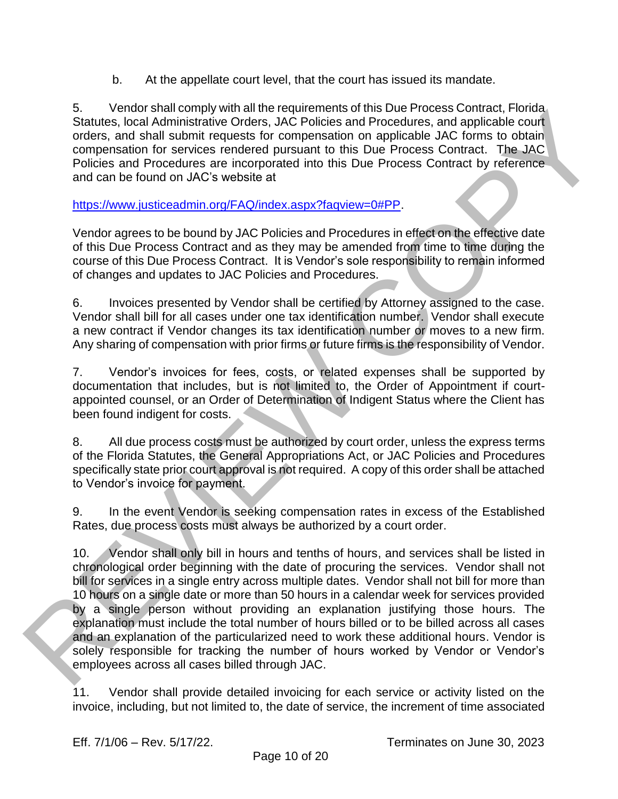b. At the appellate court level, that the court has issued its mandate.

5. Vendor shall comply with all the requirements of this Due Process Contract, Florida Statutes, local Administrative Orders, JAC Policies and Procedures, and applicable court orders, and shall submit requests for compensation on applicable JAC forms to obtain compensation for services rendered pursuant to this Due Process Contract. The JAC Policies and Procedures are incorporated into this Due Process Contract by reference and can be found on JAC's website at

https://www.justiceadmin.org/FAQ/index.aspx?faqview=0#PP.

Vendor agrees to be bound by JAC Policies and Procedures in effect on the effective date of this Due Process Contract and as they may be amended from time to time during the course of this Due Process Contract. It is Vendor's sole responsibility to remain informed of changes and updates to JAC Policies and Procedures.

6. Invoices presented by Vendor shall be certified by Attorney assigned to the case. Vendor shall bill for all cases under one tax identification number. Vendor shall execute a new contract if Vendor changes its tax identification number or moves to a new firm. Any sharing of compensation with prior firms or future firms is the responsibility of Vendor.

7. Vendor's invoices for fees, costs, or related expenses shall be supported by documentation that includes, but is not limited to, the Order of Appointment if courtappointed counsel, or an Order of Determination of Indigent Status where the Client has been found indigent for costs.

8. All due process costs must be authorized by court order, unless the express terms of the Florida Statutes, the General Appropriations Act, or JAC Policies and Procedures specifically state prior court approval is not required. A copy of this order shall be attached to Vendor's invoice for payment.

9. In the event Vendor is seeking compensation rates in excess of the Established Rates, due process costs must always be authorized by a court order.

10. Vendor shall only bill in hours and tenths of hours, and services shall be listed in chronological order beginning with the date of procuring the services. Vendor shall not bill for services in a single entry across multiple dates. Vendor shall not bill for more than 10 hours on a single date or more than 50 hours in a calendar week for services provided by a single person without providing an explanation justifying those hours. The explanation must include the total number of hours billed or to be billed across all cases and an explanation of the particularized need to work these additional hours. Vendor is solely responsible for tracking the number of hours worked by Vendor or Vendor's employees across all cases billed through JAC. 3. Vendor stati column inter legiurements of this User Procedures Contract, Pinnis Contractive [O](https://www.justiceadmin.org/FAQ/index.aspx?faqview=0#PP)rders, JAC Policies and Procedures. Stati displacable court<br>crides, local Administrative Orders, JAC Policies and Procedures.

11. Vendor shall provide detailed invoicing for each service or activity listed on the invoice, including, but not limited to, the date of service, the increment of time associated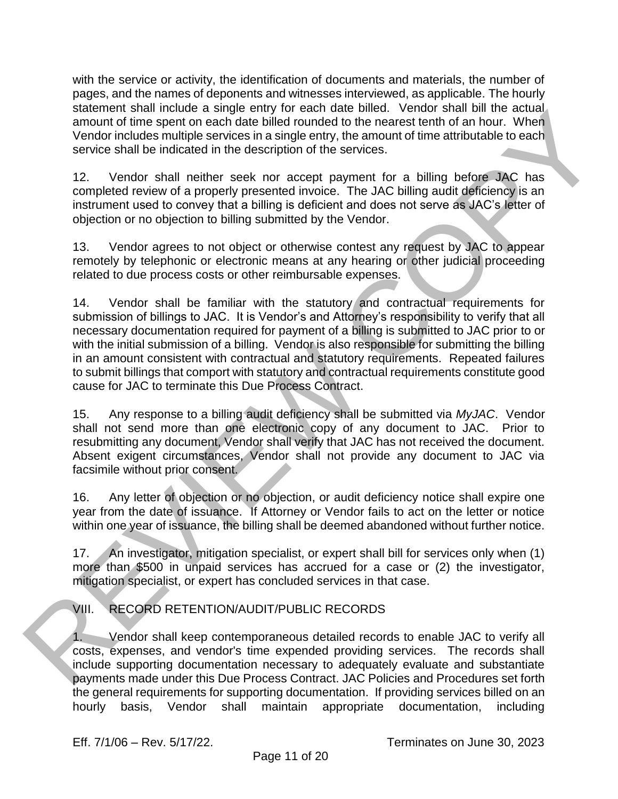with the service or activity, the identification of documents and materials, the number of pages, and the names of deponents and witnesses interviewed, as applicable. The hourly statement shall include a single entry for each date billed. Vendor shall bill the actual amount of time spent on each date billed rounded to the nearest tenth of an hour. When Vendor includes multiple services in a single entry, the amount of time attributable to each service shall be indicated in the description of the services.

12. Vendor shall neither seek nor accept payment for a billing before JAC has completed review of a properly presented invoice. The JAC billing audit deficiency is an instrument used to convey that a billing is deficient and does not serve as JAC's letter of objection or no objection to billing submitted by the Vendor.

13. Vendor agrees to not object or otherwise contest any request by JAC to appear remotely by telephonic or electronic means at any hearing or other judicial proceeding related to due process costs or other reimbursable expenses.

14. Vendor shall be familiar with the statutory and contractual requirements for submission of billings to JAC. It is Vendor's and Attorney's responsibility to verify that all necessary documentation required for payment of a billing is submitted to JAC prior to or with the initial submission of a billing. Vendor is also responsible for submitting the billing in an amount consistent with contractual and statutory requirements. Repeated failures to submit billings that comport with statutory and contractual requirements constitute good cause for JAC to terminate this Due Process Contract. statement shall metalled s altern empty for each other bitted. Ventors frail bit in the actual<br>sharp of the spanning and the bit in the chemical control of the announcing the metalled bit of the statement of the statement

15. Any response to a billing audit deficiency shall be submitted via *MyJAC*. Vendor shall not send more than one electronic copy of any document to JAC. Prior to resubmitting any document, Vendor shall verify that JAC has not received the document. Absent exigent circumstances, Vendor shall not provide any document to JAC via facsimile without prior consent.

16. Any letter of objection or no objection, or audit deficiency notice shall expire one year from the date of issuance. If Attorney or Vendor fails to act on the letter or notice within one year of issuance, the billing shall be deemed abandoned without further notice.

17. An investigator, mitigation specialist, or expert shall bill for services only when (1) more than \$500 in unpaid services has accrued for a case or (2) the investigator, mitigation specialist, or expert has concluded services in that case.

VIII. RECORD RETENTION/AUDIT/PUBLIC RECORDS

1. Vendor shall keep contemporaneous detailed records to enable JAC to verify all costs, expenses, and vendor's time expended providing services. The records shall include supporting documentation necessary to adequately evaluate and substantiate payments made under this Due Process Contract. JAC Policies and Procedures set forth the general requirements for supporting documentation. If providing services billed on an hourly basis, Vendor shall maintain appropriate documentation, including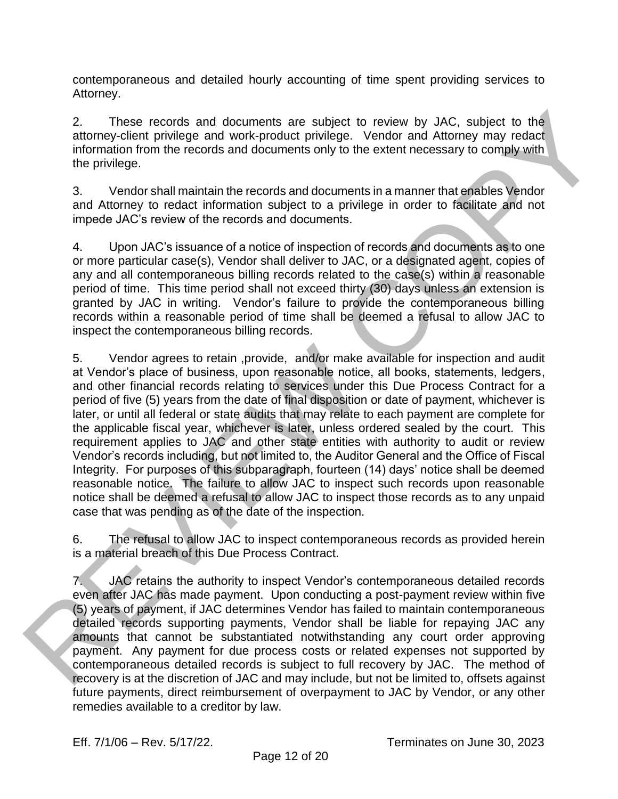contemporaneous and detailed hourly accounting of time spent providing services to Attorney.

2. These records and documents are subject to review by JAC, subject to the attorney-client privilege and work-product privilege. Vendor and Attorney may redact information from the records and documents only to the extent necessary to comply with the privilege.

3. Vendor shall maintain the records and documents in a manner that enables Vendor and Attorney to redact information subject to a privilege in order to facilitate and not impede JAC's review of the records and documents.

4. Upon JAC's issuance of a notice of inspection of records and documents as to one or more particular case(s), Vendor shall deliver to JAC, or a designated agent, copies of any and all contemporaneous billing records related to the case(s) within a reasonable period of time. This time period shall not exceed thirty (30) days unless an extension is granted by JAC in writing. Vendor's failure to provide the contemporaneous billing records within a reasonable period of time shall be deemed a refusal to allow JAC to inspect the contemporaneous billing records.

5. Vendor agrees to retain ,provide, and/or make available for inspection and audit at Vendor's place of business, upon reasonable notice, all books, statements, ledgers, and other financial records relating to services under this Due Process Contract for a period of five (5) years from the date of final disposition or date of payment, whichever is later, or until all federal or state audits that may relate to each payment are complete for the applicable fiscal year, whichever is later, unless ordered sealed by the court. This requirement applies to JAC and other state entities with authority to audit or review Vendor's records including, but not limited to, the Auditor General and the Office of Fiscal Integrity. For purposes of this subparagraph, fourteen (14) days' notice shall be deemed reasonable notice. The failure to allow JAC to inspect such records upon reasonable notice shall be deemed a refusal to allow JAC to inspect those records as to any unpaid case that was pending as of the date of the inspection. 2. Those records and decuments are subject to review by JAC, subject to the<br>alternoy-elemb private and volve-product privately. Vender and Alternoy means<br>in the method in the records and decuments only to the extent meteor

6. The refusal to allow JAC to inspect contemporaneous records as provided herein is a material breach of this Due Process Contract.

7. JAC retains the authority to inspect Vendor's contemporaneous detailed records even after JAC has made payment. Upon conducting a post-payment review within five (5) years of payment, if JAC determines Vendor has failed to maintain contemporaneous detailed records supporting payments, Vendor shall be liable for repaying JAC any amounts that cannot be substantiated notwithstanding any court order approving payment. Any payment for due process costs or related expenses not supported by contemporaneous detailed records is subject to full recovery by JAC. The method of recovery is at the discretion of JAC and may include, but not be limited to, offsets against future payments, direct reimbursement of overpayment to JAC by Vendor, or any other remedies available to a creditor by law.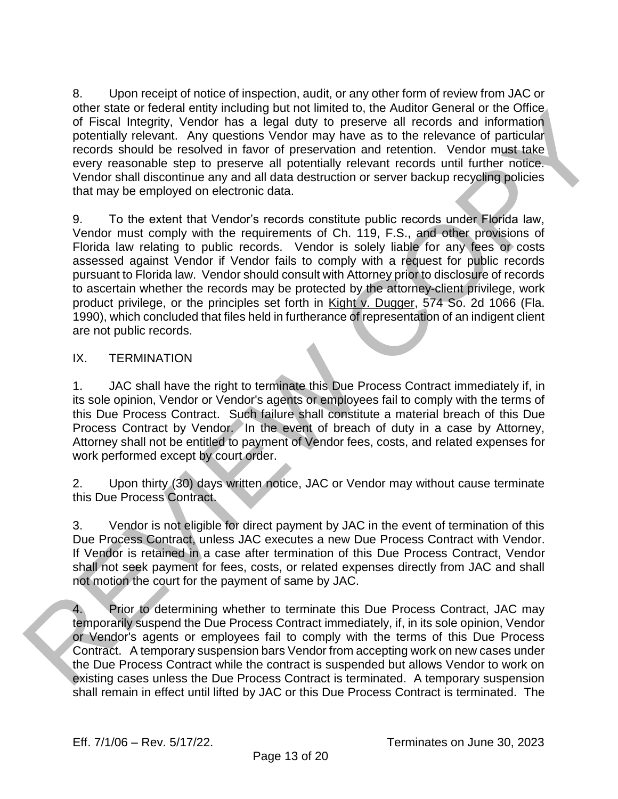8. Upon receipt of notice of inspection, audit, or any other form of review from JAC or other state or federal entity including but not limited to, the Auditor General or the Office of Fiscal Integrity, Vendor has a legal duty to preserve all records and information potentially relevant. Any questions Vendor may have as to the relevance of particular records should be resolved in favor of preservation and retention. Vendor must take every reasonable step to preserve all potentially relevant records until further notice. Vendor shall discontinue any and all data destruction or server backup recycling policies that may be employed on electronic data.

9. To the extent that Vendor's records constitute public records under Florida law, Vendor must comply with the requirements of Ch. 119, F.S., and other provisions of Florida law relating to public records. Vendor is solely liable for any fees or costs assessed against Vendor if Vendor fails to comply with a request for public records pursuant to Florida law. Vendor should consult with Attorney prior to disclosure of records to ascertain whether the records may be protected by the attorney-client privilege, work product privilege, or the principles set forth in Kight v. Dugger, 574 So. 2d 1066 (Fla. 1990), which concluded that files held in furtherance of representation of an indigent client are not public records. one's rate of reaction emotion of particular particular and the method of the method of the contract of the contract of the method of particular every reasonable stap to preserve all rotenting policing<br>the reaction point o

## IX. TERMINATION

1. JAC shall have the right to terminate this Due Process Contract immediately if, in its sole opinion, Vendor or Vendor's agents or employees fail to comply with the terms of this Due Process Contract. Such failure shall constitute a material breach of this Due Process Contract by Vendor. In the event of breach of duty in a case by Attorney, Attorney shall not be entitled to payment of Vendor fees, costs, and related expenses for work performed except by court order.

2. Upon thirty (30) days written notice, JAC or Vendor may without cause terminate this Due Process Contract.

3. Vendor is not eligible for direct payment by JAC in the event of termination of this Due Process Contract, unless JAC executes a new Due Process Contract with Vendor. If Vendor is retained in a case after termination of this Due Process Contract, Vendor shall not seek payment for fees, costs, or related expenses directly from JAC and shall not motion the court for the payment of same by JAC.

4. Prior to determining whether to terminate this Due Process Contract, JAC may temporarily suspend the Due Process Contract immediately, if, in its sole opinion, Vendor or Vendor's agents or employees fail to comply with the terms of this Due Process Contract. A temporary suspension bars Vendor from accepting work on new cases under the Due Process Contract while the contract is suspended but allows Vendor to work on existing cases unless the Due Process Contract is terminated. A temporary suspension shall remain in effect until lifted by JAC or this Due Process Contract is terminated. The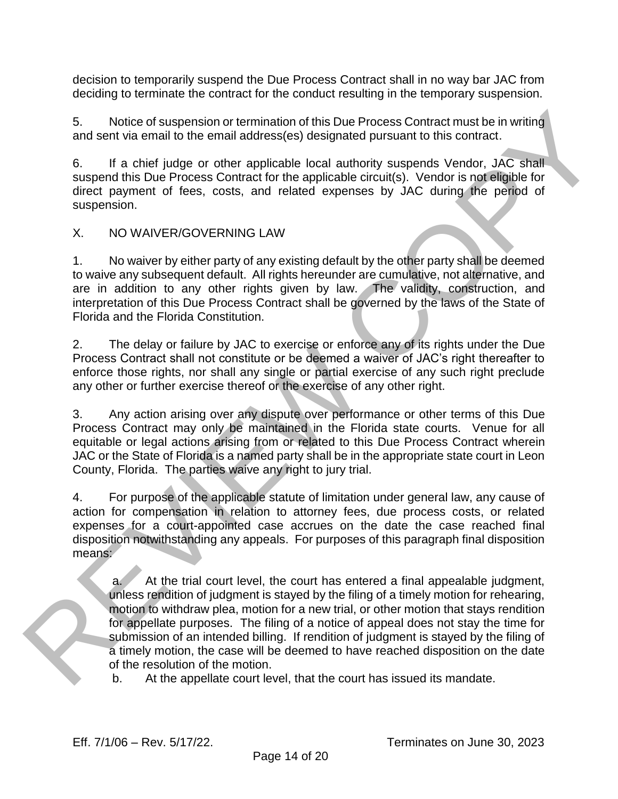decision to temporarily suspend the Due Process Contract shall in no way bar JAC from deciding to terminate the contract for the conduct resulting in the temporary suspension.

5. Notice of suspension or termination of this Due Process Contract must be in writing and sent via email to the email address(es) designated pursuant to this contract.

6. If a chief judge or other applicable local authority suspends Vendor, JAC shall suspend this Due Process Contract for the applicable circuit(s). Vendor is not eligible for direct payment of fees, costs, and related expenses by JAC during the period of suspension.

## X. NO WAIVER/GOVERNING LAW

1. No waiver by either party of any existing default by the other party shall be deemed to waive any subsequent default. All rights hereunder are cumulative, not alternative, and are in addition to any other rights given by law. The validity, construction, and interpretation of this Due Process Contract shall be governed by the laws of the State of Florida and the Florida Constitution.

2. The delay or failure by JAC to exercise or enforce any of its rights under the Due Process Contract shall not constitute or be deemed a waiver of JAC's right thereafter to enforce those rights, nor shall any single or partial exercise of any such right preclude any other or further exercise thereof or the exercise of any other right.

3. Any action arising over any dispute over performance or other terms of this Due Process Contract may only be maintained in the Florida state courts. Venue for all equitable or legal actions arising from or related to this Due Process Contract wherein JAC or the State of Florida is a named party shall be in the appropriate state court in Leon County, Florida. The parties waive any right to jury trial.

4. For purpose of the applicable statute of limitation under general law, any cause of action for compensation in relation to attorney fees, due process costs, or related expenses for a court-appointed case accrues on the date the case reached final disposition notwithstanding any appeals. For purposes of this paragraph final disposition means:

a. At the trial court level, the court has entered a final appealable judgment, unless rendition of judgment is stayed by the filing of a timely motion for rehearing, motion to withdraw plea, motion for a new trial, or other motion that stays rendition for appellate purposes. The filing of a notice of appeal does not stay the time for submission of an intended billing. If rendition of judgment is stayed by the filing of a timely motion, the case will be deemed to have reached disposition on the date of the resolution of the motion. S. Notice of ausperation or termination of this Due Process Contract must be in writing<br>and solity dia email and the the mail addressingly designated pursuant to this contract. A/C enall<br>6. If a chief judge or other appli

b. At the appellate court level, that the court has issued its mandate.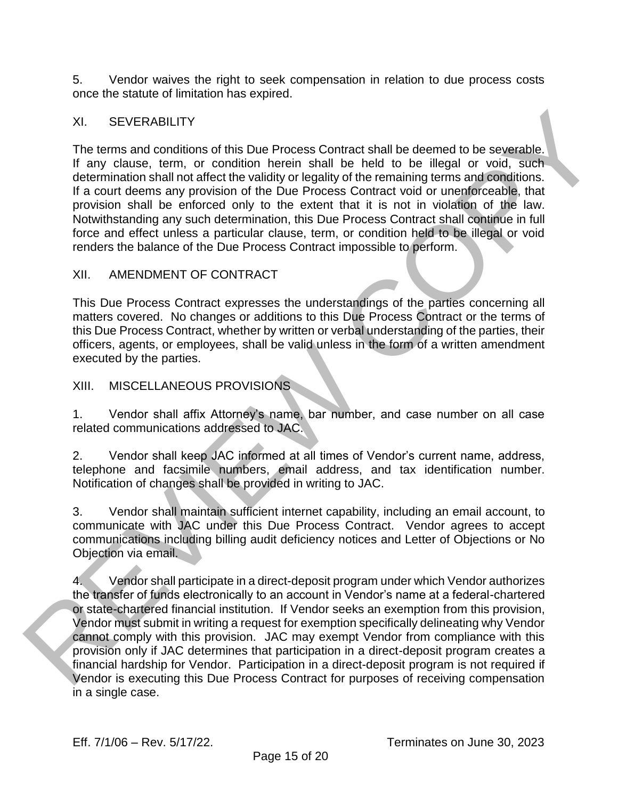5. Vendor waives the right to seek compensation in relation to due process costs once the statute of limitation has expired.

#### XI. SEVERABILITY

The terms and conditions of this Due Process Contract shall be deemed to be severable. If any clause, term, or condition herein shall be held to be illegal or void, such determination shall not affect the validity or legality of the remaining terms and conditions. If a court deems any provision of the Due Process Contract void or unenforceable, that provision shall be enforced only to the extent that it is not in violation of the law. Notwithstanding any such determination, this Due Process Contract shall continue in full force and effect unless a particular clause, term, or condition held to be illegal or void renders the balance of the Due Process Contract impossible to perform.

#### XII. AMENDMENT OF CONTRACT

This Due Process Contract expresses the understandings of the parties concerning all matters covered. No changes or additions to this Due Process Contract or the terms of this Due Process Contract, whether by written or verbal understanding of the parties, their officers, agents, or employees, shall be valid unless in the form of a written amendment executed by the parties.

#### XIII. MISCELLANEOUS PROVISIONS

1. Vendor shall affix Attorney's name, bar number, and case number on all case related communications addressed to JAC.

2. Vendor shall keep JAC informed at all times of Vendor's current name, address, telephone and facsimile numbers, email address, and tax identification number. Notification of changes shall be provided in writing to JAC.

3. Vendor shall maintain sufficient internet capability, including an email account, to communicate with JAC under this Due Process Contract. Vendor agrees to accept communications including billing audit deficiency notices and Letter of Objections or No Objection via email.

4. Vendor shall participate in a direct-deposit program under which Vendor authorizes the transfer of funds electronically to an account in Vendor's name at a federal-chartered or state-chartered financial institution. If Vendor seeks an exemption from this provision, Vendor must submit in writing a request for exemption specifically delineating why Vendor cannot comply with this provision. JAC may exempt Vendor from compliance with this provision only if JAC determines that participation in a direct-deposit program creates a financial hardship for Vendor. Participation in a direct-deposit program is not required if Vendor is executing this Due Process Contract for purposes of receiving compensation XI. SEVERABILITY<br>
The terms and conditions of this Due Process Contract shall be deemed to be severable.<br>
If any clause, term, or condition herein shall be held to be lilegal or vold. such<br>
determinant shall on all collar in a single case.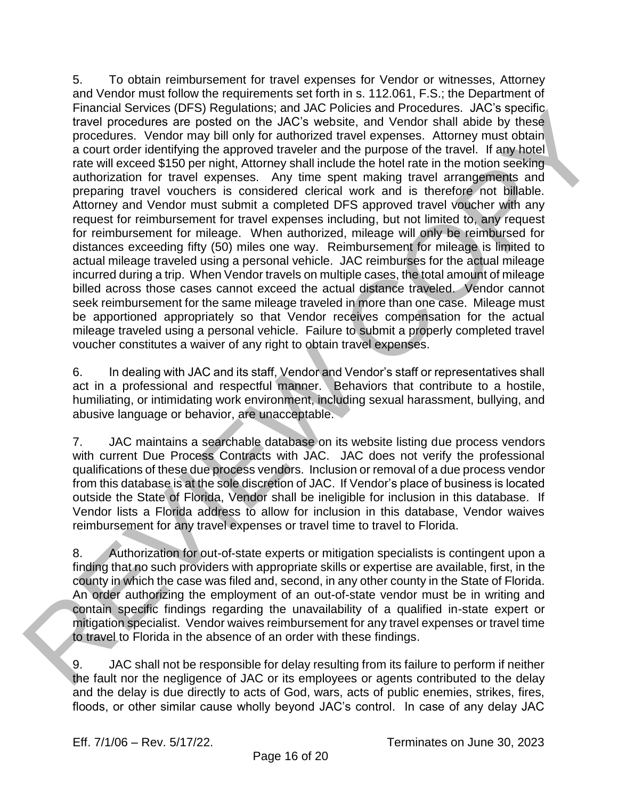5. To obtain reimbursement for travel expenses for Vendor or witnesses, Attorney and Vendor must follow the requirements set forth in s. 112.061, F.S.; the Department of Financial Services (DFS) Regulations; and JAC Policies and Procedures. JAC's specific travel procedures are posted on the JAC's website, and Vendor shall abide by these procedures. Vendor may bill only for authorized travel expenses. Attorney must obtain a court order identifying the approved traveler and the purpose of the travel. If any hotel rate will exceed \$150 per night, Attorney shall include the hotel rate in the motion seeking authorization for travel expenses. Any time spent making travel arrangements and preparing travel vouchers is considered clerical work and is therefore not billable. Attorney and Vendor must submit a completed DFS approved travel voucher with any request for reimbursement for travel expenses including, but not limited to, any request for reimbursement for mileage. When authorized, mileage will only be reimbursed for distances exceeding fifty (50) miles one way. Reimbursement for mileage is limited to actual mileage traveled using a personal vehicle. JAC reimburses for the actual mileage incurred during a trip. When Vendor travels on multiple cases, the total amount of mileage billed across those cases cannot exceed the actual distance traveled. Vendor cannot seek reimbursement for the same mileage traveled in more than one case. Mileage must be apportioned appropriately so that Vendor receives compensation for the actual mileage traveled using a personal vehicle. Failure to submit a properly completed travel voucher constitutes a waiver of any right to obtain travel expenses. Financial Services (Urs) regulations: and JAC and the distance interventients. All services are positive to the distance and Pondor stati about process and process when the process of the propertient of the properties are

6. In dealing with JAC and its staff, Vendor and Vendor's staff or representatives shall act in a professional and respectful manner. Behaviors that contribute to a hostile, humiliating, or intimidating work environment, including sexual harassment, bullying, and abusive language or behavior, are unacceptable.

7. JAC maintains a searchable database on its website listing due process vendors with current Due Process Contracts with JAC. JAC does not verify the professional qualifications of these due process vendors. Inclusion or removal of a due process vendor from this database is at the sole discretion of JAC. If Vendor's place of business is located outside the State of Florida, Vendor shall be ineligible for inclusion in this database. If Vendor lists a Florida address to allow for inclusion in this database, Vendor waives reimbursement for any travel expenses or travel time to travel to Florida.

8. Authorization for out-of-state experts or mitigation specialists is contingent upon a finding that no such providers with appropriate skills or expertise are available, first, in the county in which the case was filed and, second, in any other county in the State of Florida. An order authorizing the employment of an out-of-state vendor must be in writing and contain specific findings regarding the unavailability of a qualified in-state expert or mitigation specialist. Vendor waives reimbursement for any travel expenses or travel time to travel to Florida in the absence of an order with these findings.

9. JAC shall not be responsible for delay resulting from its failure to perform if neither the fault nor the negligence of JAC or its employees or agents contributed to the delay and the delay is due directly to acts of God, wars, acts of public enemies, strikes, fires, floods, or other similar cause wholly beyond JAC's control. In case of any delay JAC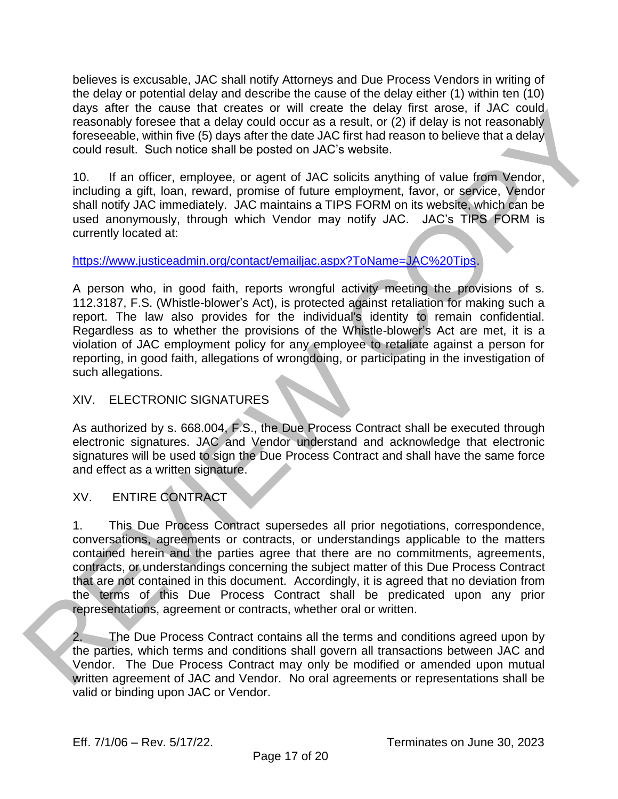believes is excusable, JAC shall notify Attorneys and Due Process Vendors in writing of the delay or potential delay and describe the cause of the delay either (1) within ten (10) days after the cause that creates or will create the delay first arose, if JAC could reasonably foresee that a delay could occur as a result, or (2) if delay is not reasonably foreseeable, within five (5) days after the date JAC first had reason to believe that a delay could result. Such notice shall be posted on JAC's website.

10. If an officer, employee, or agent of JAC solicits anything of value from Vendor, including a gift, loan, reward, promise of future employment, favor, or service, Vendor shall notify JAC immediately. JAC maintains a TIPS FORM on its website, which can be used anonymously, through which Vendor may notify JAC. JAC's TIPS FORM is currently located at:

## https://www.justiceadmin.org/contact/emailjac.aspx?ToName=JAC%20Tips.

A person who, in good faith, reports wrongful activity meeting the provisions of s. 112.3187, F.S. (Whistle-blower's Act), is protected against retaliation for making such a report. The law also provides for the individual's identity to remain confidential. Regardless as to whether the provisions of the Whistle-blower's Act are met, it is a violation of JAC employment policy for any employee to retaliate against a person for reporting, in good faith, allegations of wrongdoing, or participating in the investigation of such allegations. anel the cause hat reades for the create to each will create the causar and constrained to the action of the constrained to the particle create that it is not the constrained to the constrained to the constrained to the co

#### XIV. ELECTRONIC SIGNATURES

As authorized by s. 668.004, F.S., the Due Process Contract shall be executed through electronic signatures. JAC and Vendor understand and acknowledge that electronic signatures will be used to sign the Due Process Contract and shall have the same force and effect as a written signature.

## XV. ENTIRE CONTRACT

1. This Due Process Contract supersedes all prior negotiations, correspondence, conversations, agreements or contracts, or understandings applicable to the matters contained herein and the parties agree that there are no commitments, agreements, contracts, or understandings concerning the subject matter of this Due Process Contract that are not contained in this document. Accordingly, it is agreed that no deviation from the terms of this Due Process Contract shall be predicated upon any prior representations, agreement or contracts, whether oral or written.

2. The Due Process Contract contains all the terms and conditions agreed upon by the parties, which terms and conditions shall govern all transactions between JAC and Vendor. The Due Process Contract may only be modified or amended upon mutual written agreement of JAC and Vendor. No oral agreements or representations shall be valid or binding upon JAC or Vendor.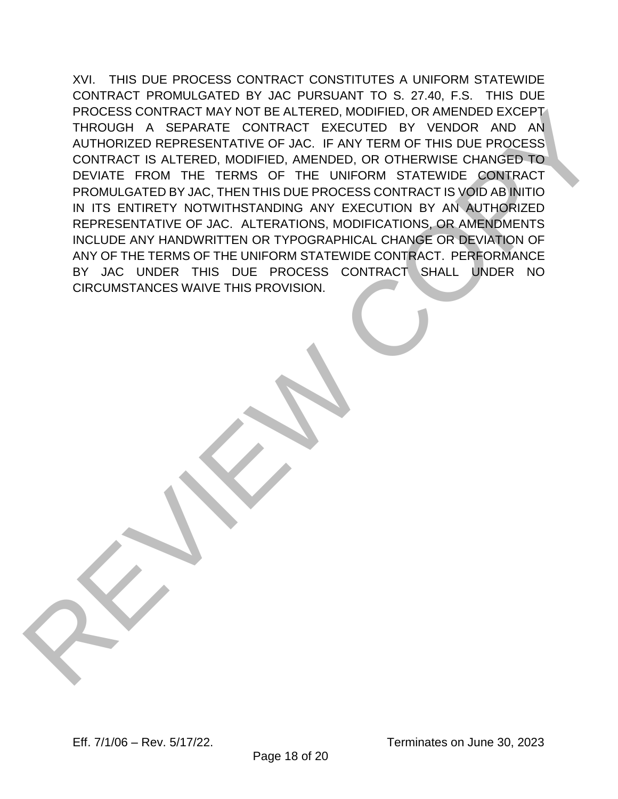XVI. THIS DUE PROCESS CONTRACT CONSTITUTES A UNIFORM STATEWIDE CONTRACT PROMULGATED BY JAC PURSUANT TO S. 27.40, F.S. THIS DUE PROCESS CONTRACT MAY NOT BE ALTERED, MODIFIED, OR AMENDED EXCEPT THROUGH A SEPARATE CONTRACT EXECUTED BY VENDOR AND AN AUTHORIZED REPRESENTATIVE OF JAC. IF ANY TERM OF THIS DUE PROCESS CONTRACT IS ALTERED, MODIFIED, AMENDED, OR OTHERWISE CHANGED TO DEVIATE FROM THE TERMS OF THE UNIFORM STATEWIDE CONTRACT PROMULGATED BY JAC, THEN THIS DUE PROCESS CONTRACT IS VOID AB INITIO IN ITS ENTIRETY NOTWITHSTANDING ANY EXECUTION BY AN AUTHORIZED REPRESENTATIVE OF JAC. ALTERATIONS, MODIFICATIONS, OR AMENDMENTS INCLUDE ANY HANDWRITTEN OR TYPOGRAPHICAL CHANGE OR DEVIATION OF ANY OF THE TERMS OF THE UNIFORM STATEWIDE CONTRACT. PERFORMANCE BY JAC UNDER THIS DUE PROCESS CONTRACT SHALL UNDER NO CIRCUMSTANCES WAIVE THIS PROVISION. PROCESS CONTRACT MAY NOT BE ALTERED, MODIFIED, OR MINENDED EXCEPT THROUGH A SEPARATE CONTRACT EXECUTED BY VENDOR AND AN<br>AUTHORIZED REPRESENTATIVE OF LAC. IF ANY TERM OF THIS DUE PROCESS<br>CONTRACT IS ALTERED. MODIFIED, AMEND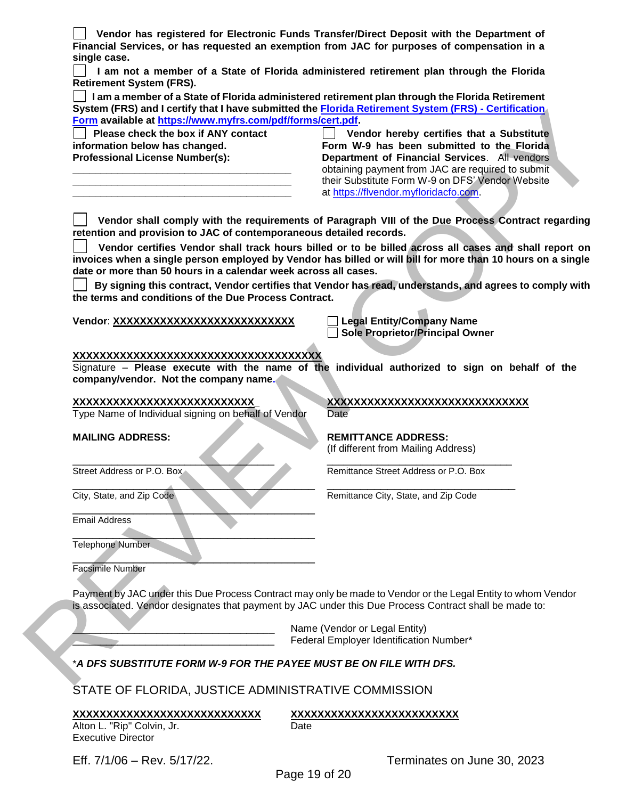**Vendor has registered for Electronic Funds Transfer/Direct Deposit with the Department of Financial Services, or has requested an exemption from JAC for purposes of compensation in a single case.**

 **I am not a member of a State of Florida administered retirement plan through the Florida Retirement System (FRS).**

 **I am a member of a State of Florida administered retirement plan through the Florida Retirement System (FRS) and I certify that I have submitted the Florida Retirement System (FRS) - Certification Form available at https://www.myfrs.com/pdf/forms/cert.pdf.** 

 **Please check the box if ANY contact information below has changed. Professional License Number(s):**

**\_\_\_\_\_\_\_\_\_\_\_\_\_\_\_\_\_\_\_\_\_\_\_\_\_\_\_\_\_\_\_\_\_\_\_\_\_\_\_ \_\_\_\_\_\_\_\_\_\_\_\_\_\_\_\_\_\_\_\_\_\_\_\_\_\_\_\_\_\_\_\_\_\_\_\_\_\_\_ \_\_\_\_\_\_\_\_\_\_\_\_\_\_\_\_\_\_\_\_\_\_\_\_\_\_\_\_\_\_\_\_\_\_\_\_\_\_\_**

 **Vendor hereby certifies that a Substitute Form W-9 has been submitted to the Florida Department of Financial Services**. All vendors obtaining payment from JAC are required to submit their Substitute Form W-9 on DFS' Vendor Website at https://flvendor.myfloridacfo.com.

 **Vendor shall comply with the requirements of Paragraph VIII of the Due Process Contract regarding retention and provision to JAC of contemporaneous detailed records.**

 **Vendor certifies Vendor shall track hours billed or to be billed across all cases and shall report on invoices when a single person employed by Vendor has billed or will bill for more than 10 hours on a single date or more than 50 hours in a calendar week across all cases.** System (FRS) and certifics the the contract the <u>Franchise Copy</u> service is the animal of the basis of the contract the contract in the contract of the contract in the contract of the contract of the contract of the contr

 **By signing this contract, Vendor certifies that Vendor has read, understands, and agrees to comply with the terms and conditions of the Due Process Contract.**

**Vendor**: **XXXXXXXXXXXXXXXXXXXXXXXXXXX Legal Entity/Company Name**

**Sole Proprietor/Principal Owner**

#### **XXXXXXXXXXXXXXXXXXXXXXXXXXXXXXXXXXXXX**

Signature – **Please execute with the name of the individual authorized to sign on behalf of the company/vendor. Not the company name.**

Type Name of Individual signing on behalf of Vendor Date

 $\qquad \qquad \qquad \qquad \qquad \qquad$ 

Email Address

 $\qquad \qquad \qquad \qquad \qquad \qquad \qquad \qquad$ Telephone Number

 $\mathcal{L}=\mathcal{L}=\mathcal{L}=\mathcal{L}=\mathcal{L}=\mathcal{L}=\mathcal{L}=\mathcal{L}=\mathcal{L}=\mathcal{L}=\mathcal{L}=\mathcal{L}=\mathcal{L}=\mathcal{L}=\mathcal{L}=\mathcal{L}=\mathcal{L}=\mathcal{L}=\mathcal{L}=\mathcal{L}=\mathcal{L}=\mathcal{L}=\mathcal{L}=\mathcal{L}=\mathcal{L}=\mathcal{L}=\mathcal{L}=\mathcal{L}=\mathcal{L}=\mathcal{L}=\mathcal{L}=\mathcal{L}=\mathcal{L}=\mathcal{L}=\mathcal{L}=\mathcal{L}=\mathcal{$ Facsimile Number

Payment by JAC under this Due Process Contract may only be made to Vendor or the Legal Entity to whom Vendor is associated. Vendor designates that payment by JAC under this Due Process Contract shall be made to:

> Name (Vendor or Legal Entity) Federal Employer Identification Number\*

#### \**A DFS SUBSTITUTE FORM W-9 FOR THE PAYEE MUST BE ON FILE WITH DFS.*

STATE OF FLORIDA, JUSTICE ADMINISTRATIVE COMMISSION

**XXXXXXXXXXXXXXXXXXXXXXXXXXXX XXXXXXXXXXXXXXXXXXXXXXXXX** Alton L. "Rip" Colvin, Jr. **Example 20 and Conventional** Executive Director

Eff. 7/1/06 – Rev. 5/17/22. Terminates on June 30, 2023

Page 19 of 20

**XXXXXXXXXXXXXXXXXXXXXXXXXXX***\_* **XXXXXXXXXXXXXXXXXXXXXXXXXXXXXX**

**MAILING ADDRESS: REMITTANCE ADDRESS:**

(If different from Mailing Address)

\_\_\_\_\_\_\_\_\_\_\_\_\_\_\_\_\_\_\_\_\_\_\_\_\_\_\_\_\_\_\_\_\_\_\_\_ \_\_\_\_\_\_\_\_\_\_\_\_\_\_\_\_\_\_\_\_\_\_\_\_\_\_\_\_\_\_\_\_\_ Street Address or P.O. Box Remittance Street Address or P.O. Box

 $\overline{\phantom{a}}$  ,  $\overline{\phantom{a}}$  ,  $\overline{\phantom{a}}$  ,  $\overline{\phantom{a}}$  ,  $\overline{\phantom{a}}$  ,  $\overline{\phantom{a}}$  ,  $\overline{\phantom{a}}$  ,  $\overline{\phantom{a}}$  ,  $\overline{\phantom{a}}$  ,  $\overline{\phantom{a}}$  ,  $\overline{\phantom{a}}$  ,  $\overline{\phantom{a}}$  ,  $\overline{\phantom{a}}$  ,  $\overline{\phantom{a}}$  ,  $\overline{\phantom{a}}$  ,  $\overline{\phantom{a}}$ City, State, and Zip Code Remittance City, State, and Zip Code